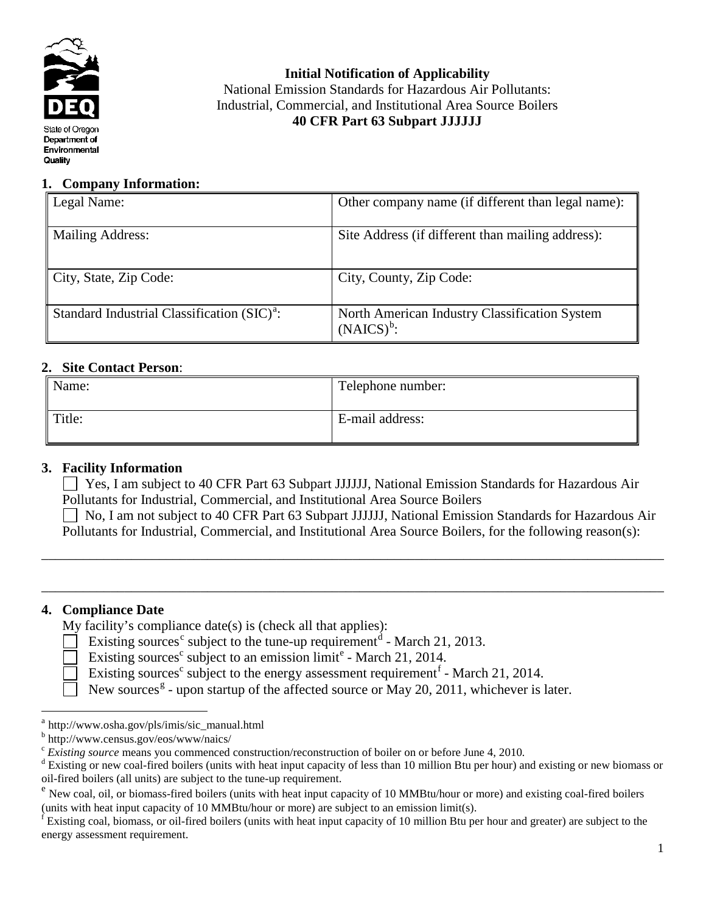

**Initial Notification of Applicability** National Emission Standards for Hazardous Air Pollutants: Industrial, Commercial, and Institutional Area Source Boilers **40 CFR Part 63 Subpart JJJJJJ**

# **1. Company Information:**

| Legal Name:                                      | Other company name (if different than legal name):             |  |  |
|--------------------------------------------------|----------------------------------------------------------------|--|--|
| Mailing Address:                                 | Site Address (if different than mailing address):              |  |  |
| $\vert$ City, State, Zip Code:                   | City, County, Zip Code:                                        |  |  |
| Standard Industrial Classification $(SIC)^{a}$ . | North American Industry Classification System<br>$(NAICS)^b$ : |  |  |

# **2. Site Contact Person**:

| Name:  | Telephone number: |
|--------|-------------------|
| Title: | E-mail address:   |

# **3. Facility Information**

 Yes, I am subject to 40 CFR Part 63 Subpart JJJJJJ, National Emission Standards for Hazardous Air Pollutants for Industrial, Commercial, and Institutional Area Source Boilers

\_\_\_\_\_\_\_\_\_\_\_\_\_\_\_\_\_\_\_\_\_\_\_\_\_\_\_\_\_\_\_\_\_\_\_\_\_\_\_\_\_\_\_\_\_\_\_\_\_\_\_\_\_\_\_\_\_\_\_\_\_\_\_\_\_\_\_\_\_\_\_\_\_\_\_\_\_\_\_\_\_\_\_\_\_\_\_\_\_\_

\_\_\_\_\_\_\_\_\_\_\_\_\_\_\_\_\_\_\_\_\_\_\_\_\_\_\_\_\_\_\_\_\_\_\_\_\_\_\_\_\_\_\_\_\_\_\_\_\_\_\_\_\_\_\_\_\_\_\_\_\_\_\_\_\_\_\_\_\_\_\_\_\_\_\_\_\_\_\_\_\_\_\_\_\_\_\_\_\_\_

 No, I am not subject to 40 CFR Part 63 Subpart JJJJJJ, National Emission Standards for Hazardous Air Pollutants for Industrial, Commercial, and Institutional Area Source Boilers, for the following reason(s):

# **4. Compliance Date**

My facility's compliance date(s) is (check all that applies):

- Existing sour[c](#page-0-2)es<sup>c</sup> subject to the tune-up requirement<sup>[d](#page-0-3)</sup> March 21, 2013.
- Existing sourc[e](#page-0-4)s<sup>c</sup> subject to an emission limit<sup>e</sup> March 21, 2014.
- Existing sources<sup>c</sup> subject to the energy assessment requirement<sup> $f$ </sup> March 21, 2014.
	- New sources<sup>[g](#page-0-6)</sup> upon startup of the affected source or May 20, 2011, whichever is later.

<span id="page-0-6"></span><span id="page-0-0"></span> $a<sup>a</sup>$ http://www.osha.gov/pls/imis/sic\_manual.html

<span id="page-0-2"></span><span id="page-0-1"></span> $\frac{b}{c}$  http://www.census.gov/eos/www/naics/<br> $\frac{c}{c}$  Existing source means you commenced construction/reconstruction of boiler on or before June 4, 2010.

<span id="page-0-3"></span> $\textdegree$  Existing or new coal-fired boilers (units with heat input capacity of less than 10 million Btu per hour) and existing or new biomass or oil-fired boilers (all units) are subject to the tune-up requirement.<br><sup>e</sup> New coal, oil, or biomass-fired boilers (units with heat input capacity of 10 MMBtu/hour or more) and existing coal-fired boilers

<span id="page-0-4"></span><sup>(</sup>units with heat input capacity of 10 MMBtu/hour or more) are subject to an emission  $\lim_{x \to a} f(s)$ .<br>If Existing coal, biomass, or oil-fired boilers (units with heat input capacity of 10 million Btu per hour and greater) a

<span id="page-0-5"></span>energy assessment requirement.